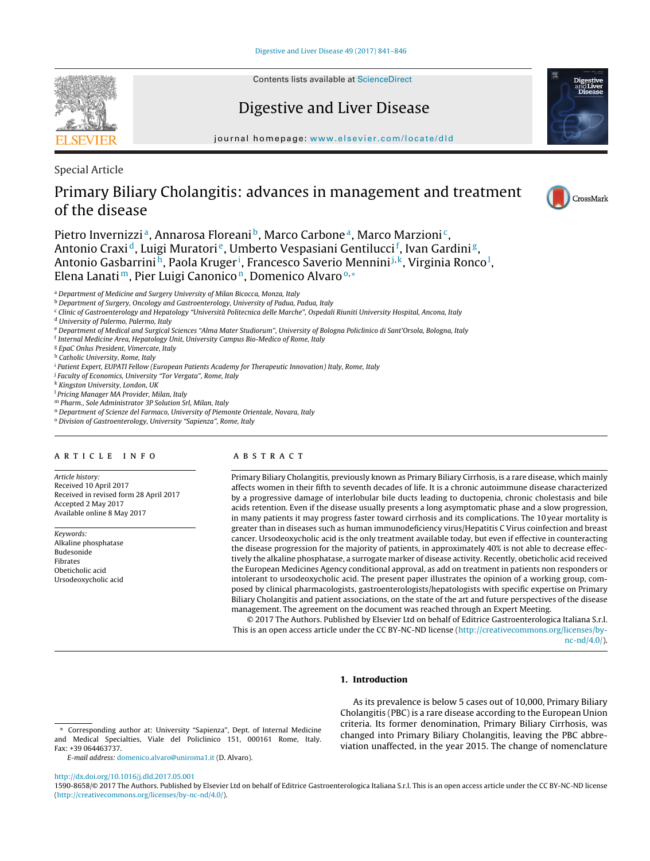**SEVIER** 

Contents lists available at [ScienceDirect](http://www.sciencedirect.com/science/journal/15908658)

# Digestive and Liver Disease



journal homepage: [www.elsevier.com/locate/dld](http://www.elsevier.com/locate/dld)

Special Article

# Primary Biliary Cholangitis: advances in management and treatment of the disease



Pietro Invernizzi<sup>a</sup>, Annarosa Floreani<sup>b</sup>, Marco Carbone<sup>a</sup>, Marco Marzioni<sup>c</sup>, Antonio Craxid, Luigi Muratori<sup>e</sup>, Umberto Vespasiani Gentilucci<sup>f</sup>, Ivan Gardini<sup>g</sup>, Antonio Gasbarrini<sup>h</sup>, Paola Kruger<sup>i</sup>, Francesco Saverio Mennini<sup>j,k</sup>, Virginia Ronco<sup>1</sup>, Elena Lanati<sup>m</sup>, Pier Luigi Canonico<sup>n</sup>, Domenico Alvaro<sup>o,</sup> ∗

<sup>a</sup> Department of Medicine and Surgery University of Milan Bicocca, Monza, Italy

b Department of Surgery, Oncology and Gastroenterology, University of Padua, Padua, Italy

<sup>c</sup> Clinic of Gastroenterology and Hepatology "Università Politecnica delle Marche", Ospedali Riuniti University Hospital, Ancona, Italy

<sup>d</sup> University of Palermo, Palermo, Italy

<sup>e</sup> Department of Medical and Surgical Sciences "Alma Mater Studiorum", University of Bologna Policlinico di Sant'Orsola, Bologna, Italy

<sup>f</sup> Internal Medicine Area, Hepatology Unit, University Campus Bio-Medico of Rome, Italy

<sup>g</sup> EpaC Onlus President, Vimercate, Italy

h Catholic University, Rome, Italy

<sup>i</sup> Patient Expert, EUPATI Fellow (European Patients Academy for Therapeutic Innovation) Italy, Rome, Italy

<sup>j</sup> Faculty of Economics, University "Tor Vergata", Rome, Italy

<sup>k</sup> Kingston University, London, UK

<sup>1</sup> Pricing Manager MA Provider, Milan, Italy

<sup>m</sup> Pharm., Sole Administrator 3P Solution Srl, Milan, Italy

<sup>n</sup> Department of Scienze del Farmaco, University of Piemonte Orientale, Novara, Italy

<sup>o</sup> Division of Gastroenterology, University "Sapienza", Rome, Italy

## a r t i c l e i n f o

Article history: Received 10 April 2017 Received in revised form 28 April 2017 Accepted 2 May 2017 Available online 8 May 2017

Keywords: Alkaline phosphatase Budesonide Fibrates Obeticholic acid Ursodeoxycholic acid

## A B S T R A C T

Primary Biliary Cholangitis, previously known as Primary Biliary Cirrhosis, is a rare disease, which mainly affects women in their fifth to seventh decades of life. It is a chronic autoimmune disease characterized by a progressive damage of interlobular bile ducts leading to ductopenia, chronic cholestasis and bile acids retention. Even if the disease usually presents a long asymptomatic phase and a slow progression, in many patients it may progress faster toward cirrhosis and its complications. The 10 year mortality is greater than in diseases such as human immunodeficiency virus/Hepatitis C Virus coinfection and breast cancer. Ursodeoxycholic acid is the only treatment available today, but even if effective in counteracting the disease progression for the majority of patients, in approximately 40% is not able to decrease effectively the alkaline phosphatase, a surrogate marker of disease activity. Recently, obeticholic acid received the European Medicines Agency conditional approval, as add on treatment in patients non responders or intolerant to ursodeoxycholic acid. The present paper illustrates the opinion of a working group, composed by clinical pharmacologists, gastroenterologists/hepatologists with specific expertise on Primary Biliary Cholangitis and patient associations, on the state of the art and future perspectives of the disease management. The agreement on the document was reached through an Expert Meeting.

© 2017 The Authors. Published by Elsevier Ltd on behalf of Editrice Gastroenterologica Italiana S.r.l. This is an open access article under the CC BY-NC-ND license [\(http://creativecommons.org/licenses/by](http://creativecommons.org/licenses/by-nc-nd/4.0/)[nc-nd/4.0/](http://creativecommons.org/licenses/by-nc-nd/4.0/)).

## **1. Introduction**

E-mail address: [domenico.alvaro@uniroma1.it](mailto:domenico.alvaro@uniroma1.it) (D. Alvaro).

As its prevalence is below 5 cases out of 10,000, Primary Biliary Cholangitis (PBC) is a rare disease according to the European Union criteria. Its former denomination, Primary Biliary Cirrhosis, was changed into Primary Biliary Cholangitis, leaving the PBC abbreviation unaffected, in the year 2015. The change of nomenclature

[http://dx.doi.org/10.1016/j.dld.2017.05.001](dx.doi.org/10.1016/j.dld.2017.05.001)

<sup>∗</sup> Corresponding author at: University "Sapienza", Dept. of Internal Medicine and Medical Specialties, Viale del Policlinico 151, 000161 Rome, Italy. Fax: +39 064463737.

<sup>1590-8658/©</sup> 2017 The Authors. Published by Elsevier Ltd on behalf of Editrice Gastroenterologica Italiana S.r.l. This is an open access article under the CC BY-NC-ND license [\(http://creativecommons.org/licenses/by-nc-nd/4.0/\)](http://creativecommons.org/licenses/by-nc-nd/4.0/).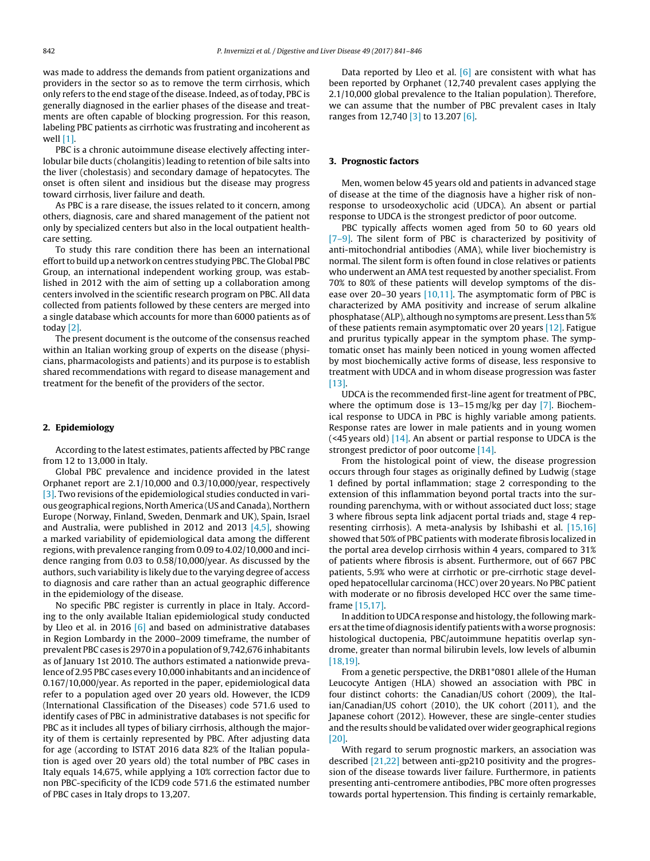was made to address the demands from patient organizations and providers in the sector so as to remove the term cirrhosis, which only refers to the end stage of the disease. Indeed, as of today, PBC is generally diagnosed in the earlier phases of the disease and treatments are often capable of blocking progression. For this reason, labeling PBC patients as cirrhotic was frustrating and incoherent as well [\[1\].](#page-5-0)

PBC is a chronic autoimmune disease electively affecting interlobular bile ducts (cholangitis) leading to retention of bile salts into the liver (cholestasis) and secondary damage of hepatocytes. The onset is often silent and insidious but the disease may progress toward cirrhosis, liver failure and death.

As PBC is a rare disease, the issues related to it concern, among others, diagnosis, care and shared management of the patient not only by specialized centers but also in the local outpatient healthcare setting.

To study this rare condition there has been an international effort to build up a network on centres studying PBC. The Global PBC Group, an international independent working group, was established in 2012 with the aim of setting up a collaboration among centers involved in the scientific research program on PBC. All data collected from patients followed by these centers are merged into a single database which accounts for more than 6000 patients as of today [\[2\].](#page-5-0)

The present document is the outcome of the consensus reached within an Italian working group of experts on the disease (physicians, pharmacologists and patients) and its purpose is to establish shared recommendations with regard to disease management and treatment for the benefit of the providers of the sector.

## **2. Epidemiology**

According to the latest estimates, patients affected by PBC range from 12 to 13,000 in Italy.

Global PBC prevalence and incidence provided in the latest Orphanet report are 2.1/10,000 and 0.3/10,000/year, respectively [\[3\].](#page-5-0) Two revisions of the epidemiological studies conducted in various geographical regions, North America (US and Canada), Northern Europe (Norway, Finland, Sweden, Denmark and UK), Spain, Israel and Australia, were published in 2012 and 2013  $[4,5]$ , showing a marked variability of epidemiological data among the different regions, with prevalence ranging from 0.09 to 4.02/10,000 and incidence ranging from 0.03 to 0.58/10,000/year. As discussed by the authors, such variability is likely due to the varying degree of access to diagnosis and care rather than an actual geographic difference in the epidemiology of the disease.

No specific PBC register is currently in place in Italy. According to the only available Italian epidemiological study conducted by Lleo et al. in 2016 [\[6\]](#page-5-0) and based on administrative databases in Region Lombardy in the 2000–2009 timeframe, the number of prevalent PBC cases is 2970 in a population of 9,742,676 inhabitants as of January 1st 2010. The authors estimated a nationwide prevalence of 2.95 PBC cases every 10,000 inhabitants and an incidence of 0.167/10,000/year. As reported in the paper, epidemiological data refer to a population aged over 20 years old. However, the ICD9 (International Classification of the Diseases) code 571.6 used to identify cases of PBC in administrative databases is not specific for PBC as it includes all types of biliary cirrhosis, although the majority of them is certainly represented by PBC. After adjusting data for age (according to ISTAT 2016 data 82% of the Italian population is aged over 20 years old) the total number of PBC cases in Italy equals 14,675, while applying a 10% correction factor due to non PBC-specificity of the ICD9 code 571.6 the estimated number of PBC cases in Italy drops to 13,207.

Data reported by Lleo et al.  $\lceil 6 \rceil$  are consistent with what has been reported by Orphanet (12,740 prevalent cases applying the 2.1/10,000 global prevalence to the Italian population). Therefore, we can assume that the number of PBC prevalent cases in Italy ranges from 12,740 [\[3\]](#page-5-0) to 13.207 [\[6\].](#page-5-0)

### **3. Prognostic factors**

Men, women below 45 years old and patients in advanced stage of disease at the time of the diagnosis have a higher risk of nonresponse to ursodeoxycholic acid (UDCA). An absent or partial response to UDCA is the strongest predictor of poor outcome.

PBC typically affects women aged from 50 to 60 years old [\[7–9\].](#page-5-0) The silent form of PBC is characterized by positivity of anti-mitochondrial antibodies (AMA), while liver biochemistry is normal. The silent form is often found in close relatives or patients who underwent an AMA test requested by another specialist. From 70% to 80% of these patients will develop symptoms of the dis-ease over 20–30 years [\[10,11\].](#page-5-0) The asymptomatic form of PBC is characterized by AMA positivity and increase of serum alkaline phosphatase (ALP), although no symptoms are present. Less than 5% of these patients remain asymptomatic over 20 years [\[12\].](#page-5-0) Fatigue and pruritus typically appear in the symptom phase. The symptomatic onset has mainly been noticed in young women affected by most biochemically active forms of disease, less responsive to treatment with UDCA and in whom disease progression was faster [\[13\].](#page-5-0)

UDCA is the recommended first-line agent for treatment of PBC, where the optimum dose is 13–15 mg/kg per day [\[7\].](#page-5-0) Biochemical response to UDCA in PBC is highly variable among patients. Response rates are lower in male patients and in young women (<45 years old) [\[14\].](#page-5-0) An absent or partial response to UDCA is the strongest predictor of poor outcome [\[14\].](#page-5-0)

From the histological point of view, the disease progression occurs through four stages as originally defined by Ludwig (stage 1 defined by portal inflammation; stage 2 corresponding to the extension of this inflammation beyond portal tracts into the surrounding parenchyma, with or without associated duct loss; stage 3 where fibrous septa link adjacent portal triads and, stage 4 representing cirrhosis). A meta-analysis by Ishibashi et al. [\[15,16\]](#page-5-0) showed that 50% of PBC patients with moderate fibrosis localized in the portal area develop cirrhosis within 4 years, compared to 31% of patients where fibrosis is absent. Furthermore, out of 667 PBC patients, 5.9% who were at cirrhotic or pre-cirrhotic stage developed hepatocellular carcinoma (HCC) over 20 years. No PBC patient with moderate or no fibrosis developed HCC over the same timeframe [\[15,17\].](#page-5-0)

In addition to UDCA response and histology, the following markers at the time of diagnosis identify patients with a worse prognosis: histological ductopenia, PBC/autoimmune hepatitis overlap syndrome, greater than normal bilirubin levels, low levels of albumin [\[18,19\].](#page-5-0)

From a genetic perspective, the DRB1\*0801 allele of the Human Leucocyte Antigen (HLA) showed an association with PBC in four distinct cohorts: the Canadian/US cohort (2009), the Italian/Canadian/US cohort (2010), the UK cohort (2011), and the Japanese cohort (2012). However, these are single-center studies and the results should be validated over wider geographical regions [20]

With regard to serum prognostic markers, an association was described [\[21,22\]](#page-5-0) between anti-gp210 positivity and the progression of the disease towards liver failure. Furthermore, in patients presenting anti-centromere antibodies, PBC more often progresses towards portal hypertension. This finding is certainly remarkable,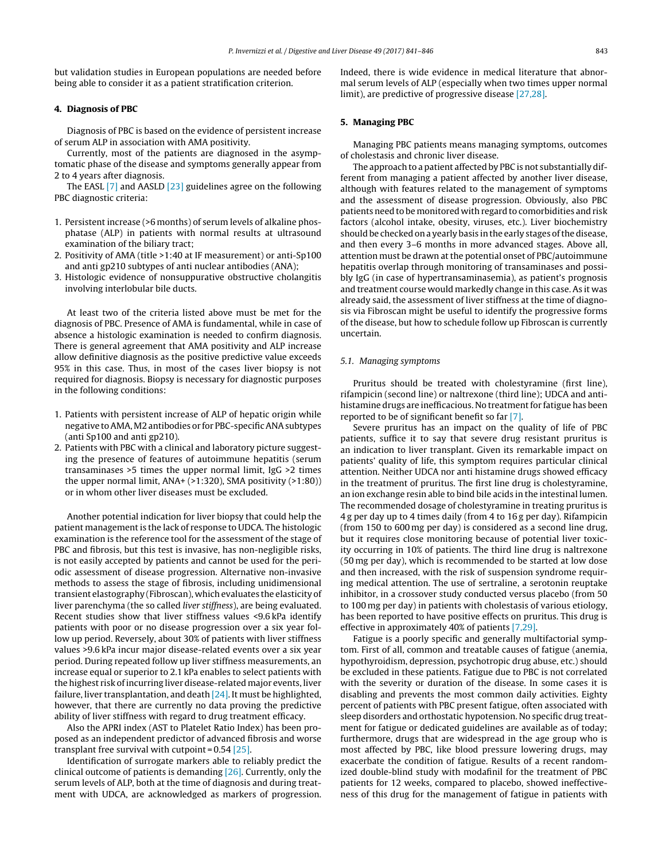but validation studies in European populations are needed before being able to consider it as a patient stratification criterion.

### **4. Diagnosis of PBC**

Diagnosis of PBC is based on the evidence of persistent increase of serum ALP in association with AMA positivity.

Currently, most of the patients are diagnosed in the asymptomatic phase of the disease and symptoms generally appear from 2 to 4 years after diagnosis.

The EASL [\[7\]](#page-5-0) and AASLD [\[23\]](#page-5-0) guidelines agree on the following PBC diagnostic criteria:

- 1. Persistent increase (>6 months) of serum levels of alkaline phosphatase (ALP) in patients with normal results at ultrasound examination of the biliary tract;
- 2. Positivity of AMA (title >1:40 at IF measurement) or anti-Sp100 and anti gp210 subtypes of anti nuclear antibodies (ANA);
- 3. Histologic evidence of nonsuppurative obstructive cholangitis involving interlobular bile ducts.

At least two of the criteria listed above must be met for the diagnosis of PBC. Presence of AMA is fundamental, while in case of absence a histologic examination is needed to confirm diagnosis. There is general agreement that AMA positivity and ALP increase allow definitive diagnosis as the positive predictive value exceeds 95% in this case. Thus, in most of the cases liver biopsy is not required for diagnosis. Biopsy is necessary for diagnostic purposes in the following conditions:

- 1. Patients with persistent increase of ALP of hepatic origin while negative toAMA,M2 antibodies or for PBC-specificANAsubtypes (anti Sp100 and anti gp210).
- 2. Patients with PBC with a clinical and laboratory picture suggesting the presence of features of autoimmune hepatitis (serum transaminases >5 times the upper normal limit, IgG >2 times the upper normal limit, ANA+ (>1:320), SMA positivity (>1:80)) or in whom other liver diseases must be excluded.

Another potential indication for liver biopsy that could help the patient management is the lack of response to UDCA. The histologic examination is the reference tool for the assessment of the stage of PBC and fibrosis, but this test is invasive, has non-negligible risks, is not easily accepted by patients and cannot be used for the periodic assessment of disease progression. Alternative non-invasive methods to assess the stage of fibrosis, including unidimensional transient elastography (Fibroscan), which evaluates the elasticity of liver parenchyma (the so called liver stiffness), are being evaluated. Recent studies show that liver stiffness values <9.6 kPa identify patients with poor or no disease progression over a six year follow up period. Reversely, about 30% of patients with liver stiffness values >9.6 kPa incur major disease-related events over a six year period. During repeated follow up liver stiffness measurements, an increase equal or superior to 2.1 kPa enables to select patients with the highest risk ofincurring liver disease-related major events, liver failure, liver transplantation, and death [\[24\].](#page-5-0) It must be highlighted, however, that there are currently no data proving the predictive ability of liver stiffness with regard to drug treatment efficacy.

Also the APRI index (AST to Platelet Ratio Index) has been proposed as an independent predictor of advanced fibrosis and worse transplant free survival with cutpoint =  $0.54$  [\[25\].](#page-5-0)

Identification of surrogate markers able to reliably predict the clinical outcome of patients is demanding [\[26\].](#page-5-0) Currently, only the serum levels of ALP, both at the time of diagnosis and during treatment with UDCA, are acknowledged as markers of progression. Indeed, there is wide evidence in medical literature that abnormal serum levels of ALP (especially when two times upper normal limit), are predictive of progressive disease [\[27,28\].](#page-5-0)

## **5. Managing PBC**

Managing PBC patients means managing symptoms, outcomes of cholestasis and chronic liver disease.

The approach to a patient affected by PBC is not substantially different from managing a patient affected by another liver disease, although with features related to the management of symptoms and the assessment of disease progression. Obviously, also PBC patients need to be monitored with regard to comorbidities and risk factors (alcohol intake, obesity, viruses, etc.). Liver biochemistry should be checked on a yearly basis in the early stages ofthe disease, and then every 3–6 months in more advanced stages. Above all, attention must be drawn at the potential onset of PBC/autoimmune hepatitis overlap through monitoring of transaminases and possibly IgG (in case of hypertransaminasemia), as patient's prognosis and treatment course would markedly change in this case. As it was already said, the assessment of liver stiffness at the time of diagnosis via Fibroscan might be useful to identify the progressive forms of the disease, but how to schedule follow up Fibroscan is currently uncertain.

#### 5.1. Managing symptoms

Pruritus should be treated with cholestyramine (first line), rifampicin (second line) or naltrexone (third line); UDCA and antihistamine drugs are inefficacious. No treatment for fatigue has been reported to be of significant benefit so far [\[7\].](#page-5-0)

Severe pruritus has an impact on the quality of life of PBC patients, suffice it to say that severe drug resistant pruritus is an indication to liver transplant. Given its remarkable impact on patients' quality of life, this symptom requires particular clinical attention. Neither UDCA nor anti histamine drugs showed efficacy in the treatment of pruritus. The first line drug is cholestyramine, an ion exchange resin able to bind bile acids in the intestinal lumen. The recommended dosage of cholestyramine in treating pruritus is 4 g per day up to 4 times daily (from 4 to 16 g per day). Rifampicin (from 150 to 600 mg per day) is considered as a second line drug, but it requires close monitoring because of potential liver toxicity occurring in 10% of patients. The third line drug is naltrexone (50 mg per day), which is recommended to be started at low dose and then increased, with the risk of suspension syndrome requiring medical attention. The use of sertraline, a serotonin reuptake inhibitor, in a crossover study conducted versus placebo (from 50 to 100 mg per day) in patients with cholestasis of various etiology, has been reported to have positive effects on pruritus. This drug is effective in approximately 40% of patients [\[7,29\].](#page-5-0)

Fatigue is a poorly specific and generally multifactorial symptom. First of all, common and treatable causes of fatigue (anemia, hypothyroidism, depression, psychotropic drug abuse, etc.) should be excluded in these patients. Fatigue due to PBC is not correlated with the severity or duration of the disease. In some cases it is disabling and prevents the most common daily activities. Eighty percent of patients with PBC present fatigue, often associated with sleep disorders and orthostatic hypotension. No specific drug treatment for fatigue or dedicated guidelines are available as of today; furthermore, drugs that are widespread in the age group who is most affected by PBC, like blood pressure lowering drugs, may exacerbate the condition of fatigue. Results of a recent randomized double-blind study with modafinil for the treatment of PBC patients for 12 weeks, compared to placebo, showed ineffectiveness of this drug for the management of fatigue in patients with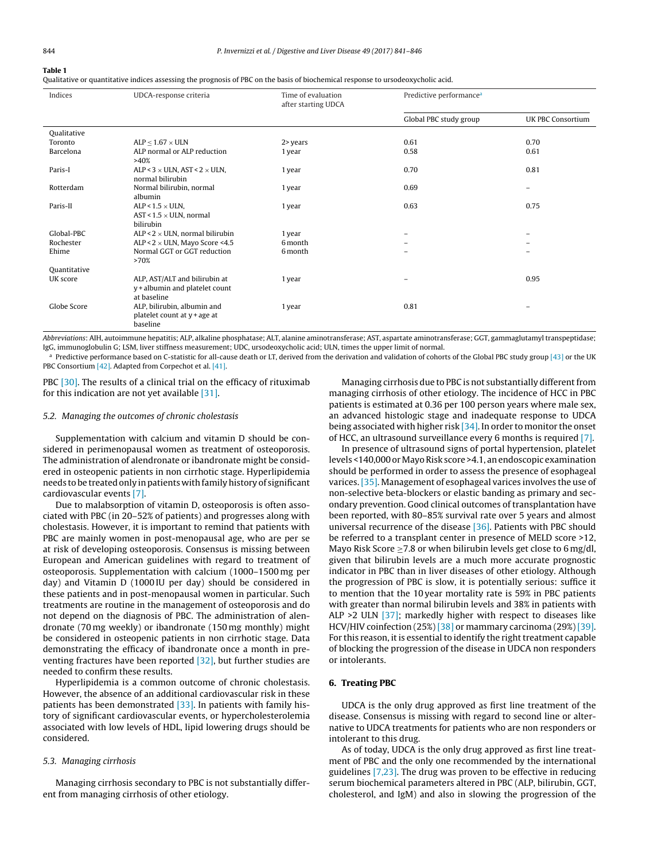<span id="page-3-0"></span>

Qualitative or quantitative indices assessing the prognosis of PBC on the basis of biochemical response to ursodeoxycholic acid.

| Indices      | UDCA-response criteria                                                         | Time of evaluation<br>after starting UDCA | Predictive performance <sup>a</sup> |                   |
|--------------|--------------------------------------------------------------------------------|-------------------------------------------|-------------------------------------|-------------------|
|              |                                                                                |                                           | Global PBC study group              | UK PBC Consortium |
| Qualitative  |                                                                                |                                           |                                     |                   |
| Toronto      | ALP < $1.67 \times$ ULN                                                        | $2$ years                                 | 0.61                                | 0.70              |
| Barcelona    | ALP normal or ALP reduction<br>>40%                                            | 1 year                                    | 0.58                                | 0.61              |
| Paris-I      | ALP < $3 \times$ ULN, AST < $2 \times$ ULN,<br>normal bilirubin                | 1 year                                    | 0.70                                | 0.81              |
| Rotterdam    | Normal bilirubin, normal<br>albumin                                            | 1 year                                    | 0.69                                | -                 |
| Paris-II     | ALP < $1.5 \times$ ULN,<br>AST < $1.5 \times$ ULN, normal<br>bilirubin         | 1 year                                    | 0.63                                | 0.75              |
| Global-PBC   | ALP < $2 \times$ ULN, normal bilirubin                                         | 1 year                                    |                                     |                   |
| Rochester    | ALP < $2 \times$ ULN, Mayo Score <4.5                                          | 6 month                                   |                                     |                   |
| Ehime        | Normal GGT or GGT reduction<br>>70%                                            | 6 month                                   | -                                   | $\equiv$          |
| Quantitative |                                                                                |                                           |                                     |                   |
| UK score     | ALP, AST/ALT and bilirubin at<br>y + albumin and platelet count<br>at baseline | 1 year                                    |                                     | 0.95              |
| Globe Score  | ALP, bilirubin, albumin and<br>platelet count at y + age at<br>baseline        | 1 year                                    | 0.81                                |                   |

Abbreviations: AIH, autoimmune hepatitis; ALP, alkaline phosphatase; ALT, alanine aminotransferase; AST, aspartate aminotransferase; GGT, gammaglutamyl transpeptidase; IgG, immunoglobulin G; LSM, liver stiffness measurement; UDC, ursodeoxycholic acid; ULN, times the upper limit of normal.

<sup>a</sup> Predictive performance based on C-statistic for all-cause death or LT, derived from the derivation and validation of cohorts of the Global PBC study group [\[43\]](#page-5-0) or the UK PBC Consortium [\[42\].](#page-5-0) Adapted from Corpechot et al. [\[41\].](#page-5-0)

PBC [\[30\].](#page-5-0) The results of a clinical trial on the efficacy of rituximab for this indication are not yet available  $[31]$ .

### 5.2. Managing the outcomes of chronic cholestasis

Supplementation with calcium and vitamin D should be considered in perimenopausal women as treatment of osteoporosis. The administration of alendronate or ibandronate might be considered in osteopenic patients in non cirrhotic stage. Hyperlipidemia needs to be treated only in patients with family history of significant cardiovascular events [\[7\].](#page-5-0)

Due to malabsorption of vitamin D, osteoporosis is often associated with PBC (in 20–52% of patients) and progresses along with cholestasis. However, it is important to remind that patients with PBC are mainly women in post-menopausal age, who are per se at risk of developing osteoporosis. Consensus is missing between European and American guidelines with regard to treatment of osteoporosis. Supplementation with calcium (1000–1500 mg per day) and Vitamin D (1000 IU per day) should be considered in these patients and in post-menopausal women in particular. Such treatments are routine in the management of osteoporosis and do not depend on the diagnosis of PBC. The administration of alendronate (70 mg weekly) or ibandronate (150 mg monthly) might be considered in osteopenic patients in non cirrhotic stage. Data demonstrating the efficacy of ibandronate once a month in preventing fractures have been reported [\[32\],](#page-5-0) but further studies are needed to confirm these results.

Hyperlipidemia is a common outcome of chronic cholestasis. However, the absence of an additional cardiovascular risk in these patients has been demonstrated [\[33\].](#page-5-0) In patients with family history of significant cardiovascular events, or hypercholesterolemia associated with low levels of HDL, lipid lowering drugs should be considered.

### 5.3. Managing cirrhosis

Managing cirrhosis secondary to PBC is not substantially different from managing cirrhosis of other etiology.

Managing cirrhosis due to PBC is not substantially different from managing cirrhosis of other etiology. The incidence of HCC in PBC patients is estimated at 0.36 per 100 person years where male sex, an advanced histologic stage and inadequate response to UDCA being associated with higher risk [\[34\].](#page-5-0) In order to monitor the onset of HCC, an ultrasound surveillance every 6 months is required [\[7\].](#page-5-0)

In presence of ultrasound signs of portal hypertension, platelet levels <140,000 or Mayo Risk score >4.1, an endoscopic examination should be performed in order to assess the presence of esophageal varices. [\[35\].](#page-5-0) Management of esophageal varices involves the use of non-selective beta-blockers or elastic banding as primary and secondary prevention. Good clinical outcomes of transplantation have been reported, with 80–85% survival rate over 5 years and almost universal recurrence of the disease [\[36\].](#page-5-0) Patients with PBC should be referred to a transplant center in presence of MELD score >12, Mayo Risk Score > 7.8 or when bilirubin levels get close to 6 mg/dl, given that bilirubin levels are a much more accurate prognostic indicator in PBC than in liver diseases of other etiology. Although the progression of PBC is slow, it is potentially serious: suffice it to mention that the 10 year mortality rate is 59% in PBC patients with greater than normal bilirubin levels and 38% in patients with ALP  $>2$  ULN  $\left[37\right]$ ; markedly higher with respect to diseases like HCV/HIV coinfection (25%) [\[38\]](#page-5-0) or mammary carcinoma (29%) [\[39\].](#page-5-0) For this reason, it is essential to identify the right treatment capable of blocking the progression of the disease in UDCA non responders or intolerants.

## **6. Treating PBC**

UDCA is the only drug approved as first line treatment of the disease. Consensus is missing with regard to second line or alternative to UDCA treatments for patients who are non responders or intolerant to this drug.

As of today, UDCA is the only drug approved as first line treatment of PBC and the only one recommended by the international guidelines [\[7,23\].](#page-5-0) The drug was proven to be effective in reducing serum biochemical parameters altered in PBC (ALP, bilirubin, GGT, cholesterol, and IgM) and also in slowing the progression of the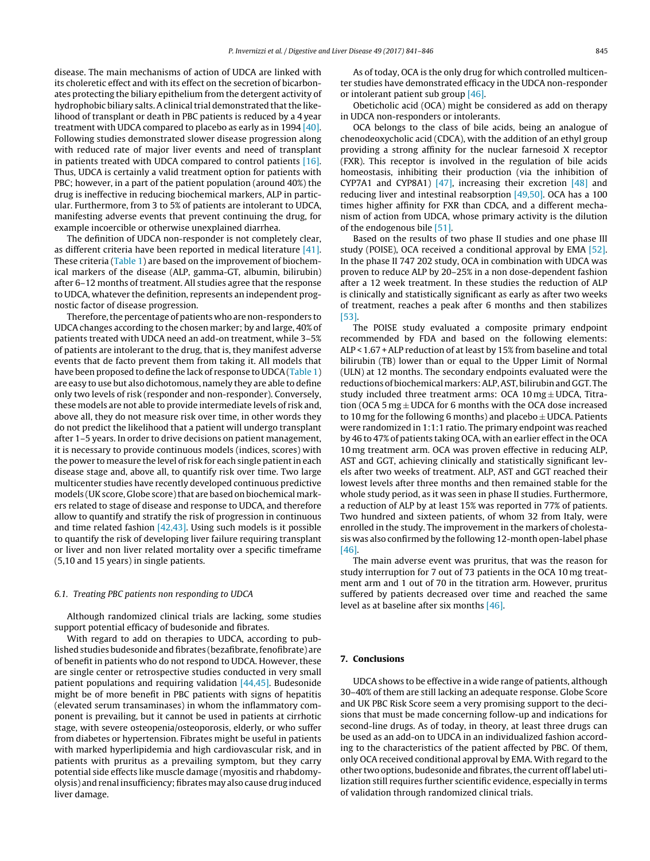disease. The main mechanisms of action of UDCA are linked with its choleretic effect and with its effect on the secretion of bicarbonates protecting the biliary epithelium from the detergent activity of hydrophobic biliary salts. A clinical trial demonstrated that the likelihood of transplant or death in PBC patients is reduced by a 4 year treatment with UDCA compared to placebo as early as in 1994 [\[40\].](#page-5-0) Following studies demonstrated slower disease progression along with reduced rate of major liver events and need of transplant in patients treated with UDCA compared to control patients [\[16\].](#page-5-0) Thus, UDCA is certainly a valid treatment option for patients with PBC; however, in a part of the patient population (around 40%) the drug is ineffective in reducing biochemical markers, ALP in particular. Furthermore, from 3 to 5% of patients are intolerant to UDCA, manifesting adverse events that prevent continuing the drug, for example incoercible or otherwise unexplained diarrhea.

The definition of UDCA non-responder is not completely clear, as different criteria have been reported in medical literature [\[41\].](#page-5-0) These criteria ([Table](#page-3-0) 1) are based on the improvement of biochemical markers of the disease (ALP, gamma-GT, albumin, bilirubin) after 6–12 months of treatment. All studies agree that the response to UDCA, whatever the definition, represents an independent prognostic factor of disease progression.

Therefore, the percentage of patients who are non-responders to UDCA changes according to the chosen marker; by and large, 40% of patients treated with UDCA need an add-on treatment, while 3–5% of patients are intolerant to the drug, that is, they manifest adverse events that de facto prevent them from taking it. All models that have been proposed to define the lack of response to UDCA[\(Table](#page-3-0) 1) are easy to use but also dichotomous, namely they are able to define only two levels of risk (responder and non-responder). Conversely, these models are not able to provide intermediate levels of risk and, above all, they do not measure risk over time, in other words they do not predict the likelihood that a patient will undergo transplant after 1–5 years. In order to drive decisions on patient management, it is necessary to provide continuous models (indices, scores) with the power to measure the level of risk for each single patient in each disease stage and, above all, to quantify risk over time. Two large multicenter studies have recently developed continuous predictive models (UK score, Globe score) that are based on biochemical markers related to stage of disease and response to UDCA, and therefore allow to quantify and stratify the risk of progression in continuous and time related fashion [\[42,43\].](#page-5-0) Using such models is it possible to quantify the risk of developing liver failure requiring transplant or liver and non liver related mortality over a specific timeframe (5,10 and 15 years) in single patients.

#### 6.1. Treating PBC patients non responding to UDCA

Although randomized clinical trials are lacking, some studies support potential efficacy of budesonide and fibrates.

With regard to add on therapies to UDCA, according to published studies budesonide and fibrates (bezafibrate, fenofibrate) are of benefit in patients who do not respond to UDCA. However, these are single center or retrospective studies conducted in very small patient populations and requiring validation [\[44,45\].](#page-5-0) Budesonide might be of more benefit in PBC patients with signs of hepatitis (elevated serum transaminases) in whom the inflammatory component is prevailing, but it cannot be used in patients at cirrhotic stage, with severe osteopenia/osteoporosis, elderly, or who suffer from diabetes or hypertension. Fibrates might be useful in patients with marked hyperlipidemia and high cardiovascular risk, and in patients with pruritus as a prevailing symptom, but they carry potential side effects like muscle damage (myositis and rhabdomyolysis) and renal insufficiency; fibrates may also cause drug induced liver damage.

As of today, OCA is the only drug for which controlled multicenter studies have demonstrated efficacy in the UDCA non-responder or intolerant patient sub group [\[46\].](#page-5-0)

Obeticholic acid (OCA) might be considered as add on therapy in UDCA non-responders or intolerants.

OCA belongs to the class of bile acids, being an analogue of chenodeoxycholic acid (CDCA), with the addition of an ethyl group providing a strong affinity for the nuclear farnesoid X receptor (FXR). This receptor is involved in the regulation of bile acids homeostasis, inhibiting their production (via the inhibition of CYP7A1 and CYP8A1) [\[47\],](#page-5-0) increasing their excretion [\[48\]](#page-5-0) and reducing liver and intestinal reabsorption [\[49,50\].](#page-5-0) OCA has a 100 times higher affinity for FXR than CDCA, and a different mechanism of action from UDCA, whose primary activity is the dilution of the endogenous bile [\[51\].](#page-5-0)

Based on the results of two phase II studies and one phase III study (POISE), OCA received a conditional approval by EMA [\[52\].](#page-5-0) In the phase II 747 202 study, OCA in combination with UDCA was proven to reduce ALP by 20–25% in a non dose-dependent fashion after a 12 week treatment. In these studies the reduction of ALP is clinically and statistically significant as early as after two weeks of treatment, reaches a peak after 6 months and then stabilizes [\[53\].](#page-5-0)

The POISE study evaluated a composite primary endpoint recommended by FDA and based on the following elements: ALP < 1.67 +ALP reduction of at least by 15% from baseline and total bilirubin (TB) lower than or equal to the Upper Limit of Normal (ULN) at 12 months. The secondary endpoints evaluated were the reductions of biochemicalmarkers:ALP,AST, bilirubinand GGT. The study included three treatment arms: OCA  $10 \text{ mg} \pm \text{UDCA}$ , Titration (OCA 5 mg  $\pm$  UDCA for 6 months with the OCA dose increased to 10 mg for the following 6 months) and placebo  $\pm$  UDCA. Patients were randomized in 1:1:1 ratio. The primary endpoint was reached by 46 to 47% of patients taking OCA, with an earlier effect in the OCA 10 mg treatment arm. OCA was proven effective in reducing ALP, AST and GGT, achieving clinically and statistically significant levels after two weeks of treatment. ALP, AST and GGT reached their lowest levels after three months and then remained stable for the whole study period, as it was seen in phase II studies. Furthermore, a reduction of ALP by at least 15% was reported in 77% of patients. Two hundred and sixteen patients, of whom 32 from Italy, were enrolled in the study. The improvement in the markers of cholestasis was also confirmed by the following 12-month open-label phase [\[46\].](#page-5-0)

The main adverse event was pruritus, that was the reason for study interruption for 7 out of 73 patients in the OCA 10 mg treatment arm and 1 out of 70 in the titration arm. However, pruritus suffered by patients decreased over time and reached the same level as at baseline after six months [\[46\].](#page-5-0)

## **7. Conclusions**

UDCA shows to be effective in a wide range of patients, although 30–40% of them are still lacking an adequate response. Globe Score and UK PBC Risk Score seem a very promising support to the decisions that must be made concerning follow-up and indications for second-line drugs. As of today, in theory, at least three drugs can be used as an add-on to UDCA in an individualized fashion according to the characteristics of the patient affected by PBC. Of them, only OCA received conditional approval by EMA. With regard to the other two options, budesonide and fibrates, the current off label utilization still requires further scientific evidence, especially in terms of validation through randomized clinical trials.